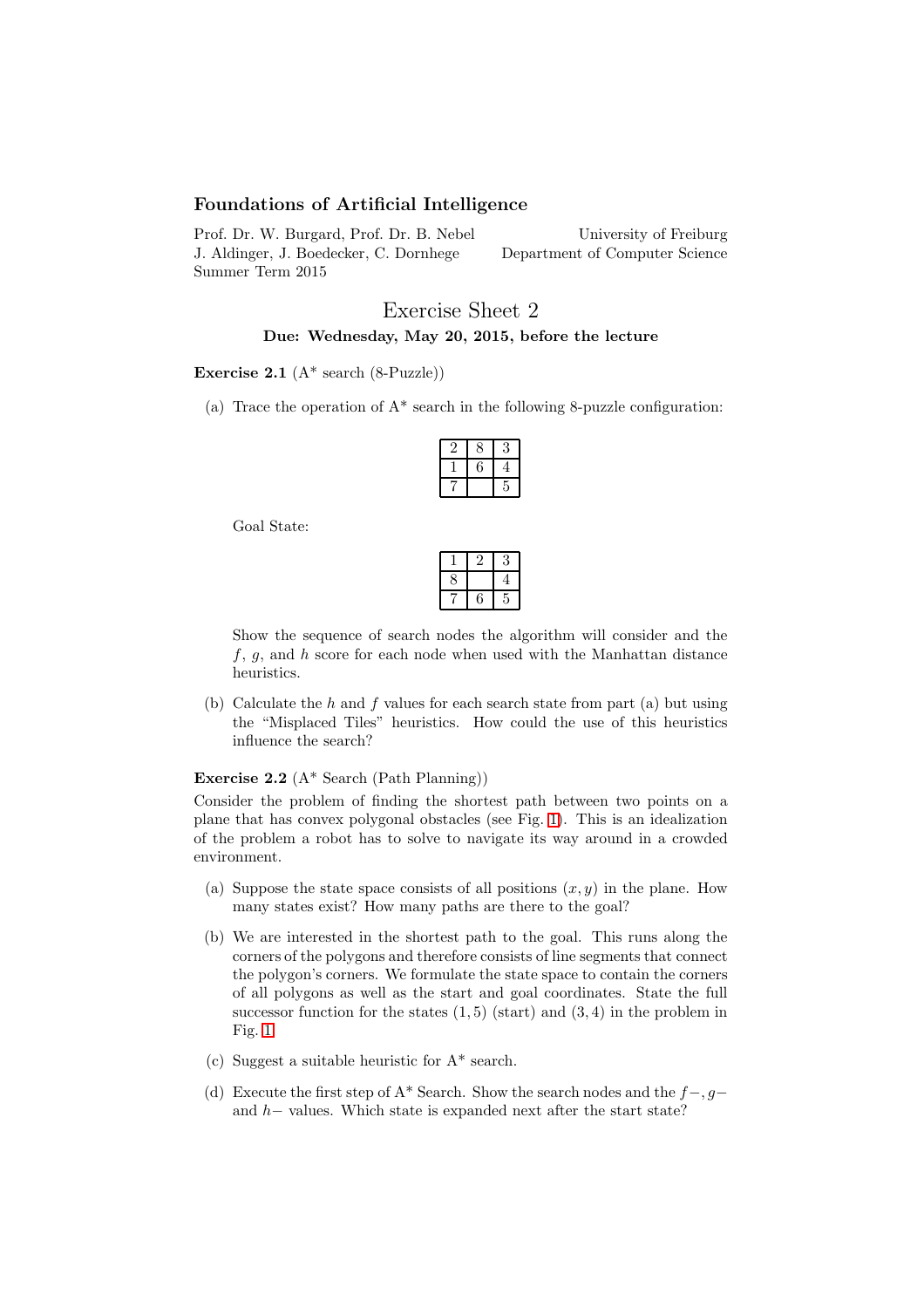# Foundations of Artificial Intelligence

Prof. Dr. W. Burgard, Prof. Dr. B. Nebel J. Aldinger, J. Boedecker, C. Dornhege Summer Term 2015

University of Freiburg Department of Computer Science

# Exercise Sheet 2 Due: Wednesday, May 20, 2015, before the lecture

### Exercise 2.1  $(A^*$  search  $(8$ -Puzzle))

(a) Trace the operation of  $A^*$  search in the following 8-puzzle configuration:

Goal State:

| × |   |  |
|---|---|--|
|   | × |  |

Show the sequence of search nodes the algorithm will consider and the  $f, g$ , and h score for each node when used with the Manhattan distance heuristics.

(b) Calculate the  $h$  and  $f$  values for each search state from part (a) but using the "Misplaced Tiles" heuristics. How could the use of this heuristics influence the search?

### Exercise 2.2 (A\* Search (Path Planning))

Consider the problem of finding the shortest path between two points on a plane that has convex polygonal obstacles (see Fig. [1\)](#page-1-0). This is an idealization of the problem a robot has to solve to navigate its way around in a crowded environment.

- (a) Suppose the state space consists of all positions  $(x, y)$  in the plane. How many states exist? How many paths are there to the goal?
- (b) We are interested in the shortest path to the goal. This runs along the corners of the polygons and therefore consists of line segments that connect the polygon's corners. We formulate the state space to contain the corners of all polygons as well as the start and goal coordinates. State the full successor function for the states  $(1, 5)$  (start) and  $(3, 4)$  in the problem in Fig. [1.](#page-1-0)
- (c) Suggest a suitable heuristic for A\* search.
- (d) Execute the first step of A\* Search. Show the search nodes and the  $f-, g$ and h− values. Which state is expanded next after the start state?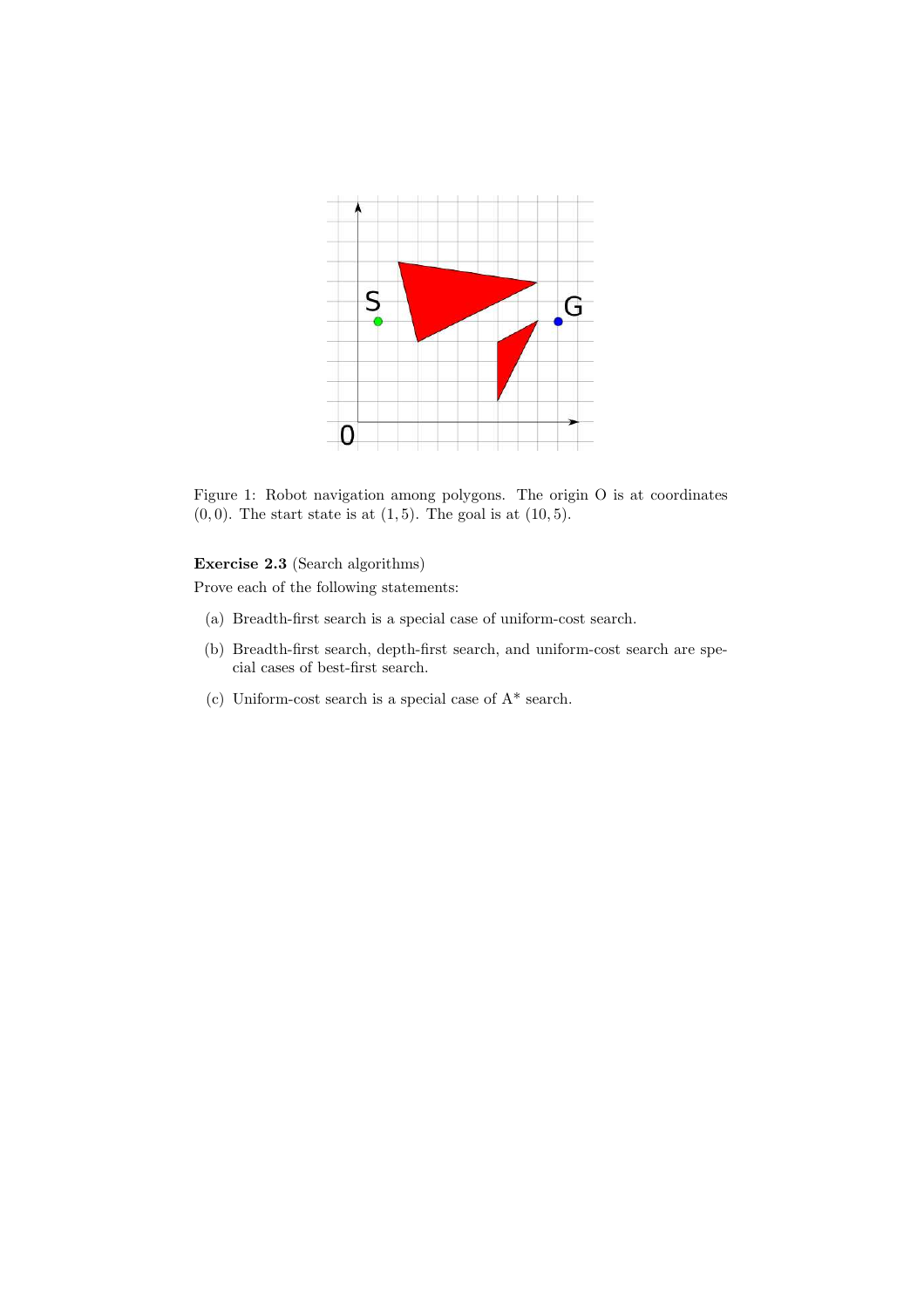

<span id="page-1-0"></span>Figure 1: Robot navigation among polygons. The origin O is at coordinates  $(0, 0)$ . The start state is at  $(1, 5)$ . The goal is at  $(10, 5)$ .

# Exercise 2.3 (Search algorithms)

Prove each of the following statements:

- (a) Breadth-first search is a special case of uniform-cost search.
- (b) Breadth-first search, depth-first search, and uniform-cost search are special cases of best-first search.
- (c) Uniform-cost search is a special case of A\* search.